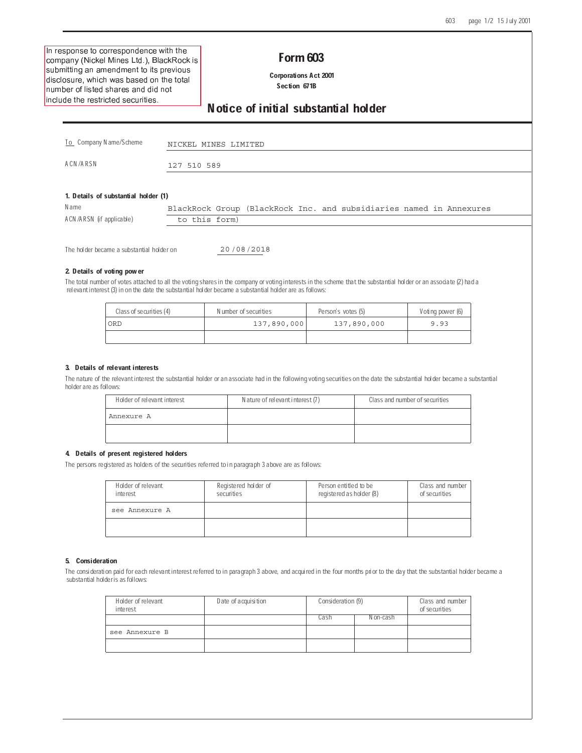$\blacksquare$  . The contract of the contract of the contract of the contract of the contract of the contract of the contract of the contract of the contract of the contract of the contract of the contract of the contract of the company (Nickel Mines Ltd.), BlackRock is results and the contract of the contract of the contract of the contract of the contract of the contract of th -     $-$  . The contract of the contract of the contract of the contract of the contract of the contract of the contract of the contract of the contract of the contract of the contract of the contract of the contract of the con  - - -

## Form 603

 Corporations Act 2001 Section 671B

Notice of initial substantial holder

| To Company N ame/S cheme             | NICKEL MINES LIMITED                                                |
|--------------------------------------|---------------------------------------------------------------------|
| A CN /A R SN                         | 127 510 589                                                         |
|                                      |                                                                     |
| 1. Details of substantial holder (1) |                                                                     |
| N ame                                | BlackRock Group (BlackRock Inc. and subsidiaries named in Annexures |

| ACN/ARSN (if applicable) | torm)<br>to this |  |
|--------------------------|------------------|--|
|                          |                  |  |

The holder became a substantial holder on

20 08 2018

## 2. Details of voting power

The total number of votes attached to all the voting shares in the company or voting interests in the scheme that the substantial holder or an associate (2) had a relevant interest (3) in on the date the substantial holder became a substantial holder are as follows:

| Class of securities (4) | Number of securities | Person's votes (5) | Voting power (6) |
|-------------------------|----------------------|--------------------|------------------|
| ORD                     | 137,890,000          | 137,890,000        | 9.93             |
|                         |                      |                    |                  |

#### 3. Details of relevant interests

The nature of the relevant interest the substantial holder or an associate had in the following voting securities on the date the substantial holder became a substantial holder are as follows:

| Holder of relevant interest | Nature of relevant interest (7) | Class and number of securities |
|-----------------------------|---------------------------------|--------------------------------|
| Annexure A                  |                                 |                                |
|                             |                                 |                                |

## 4. Details of present registered holders

The persons registered as holders of the securities referred to in paragraph 3 above are as follows:

| Holder of relevant<br>interest | Registered holder of<br>securities | Person entitled to be<br>registered as holder (8) | Class and number 1<br>of securities |
|--------------------------------|------------------------------------|---------------------------------------------------|-------------------------------------|
| see Annexure A                 |                                    |                                                   |                                     |
|                                |                                    |                                                   |                                     |

#### 5. Consideration

The consideration paid for each relevant interest referred to in paragraph 3 above, and acquired in the four months prior to the day that the substantial holder became a substantial holder is as follows:

| Holder of relevant<br>interest | Date of acquisition | Consideration (9) | Class and number<br>of securities |  |
|--------------------------------|---------------------|-------------------|-----------------------------------|--|
|                                |                     | Cash              | N on-cash                         |  |
| see Annexure B                 |                     |                   |                                   |  |
|                                |                     |                   |                                   |  |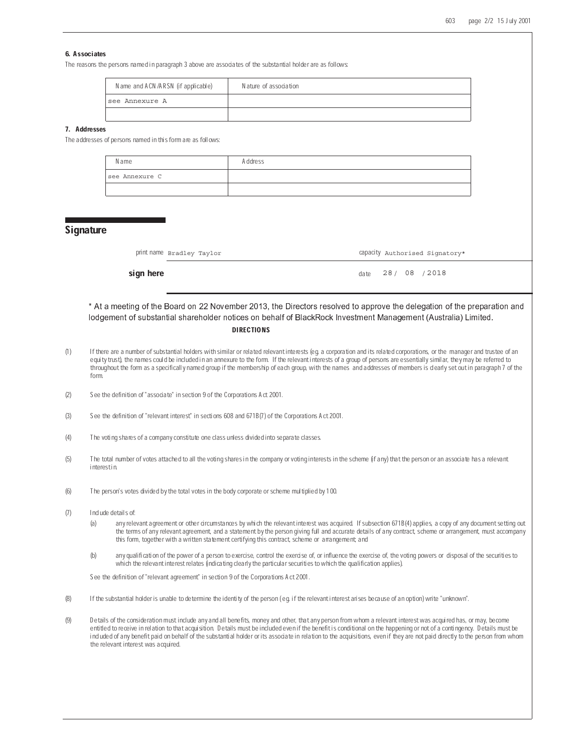## 6. Associates

The reasons the persons named in paragraph 3 above are associates of the substantial holder are as follows:

| Name and ACN/ARSN (if applicable) | Nature of association |
|-----------------------------------|-----------------------|
| see Annexure A                    |                       |
|                                   |                       |

## 7. Addresses

The addresses of persons named in this form are as follows:

| N ame          | <b>Address</b> |
|----------------|----------------|
| see Annexure C |                |
|                |                |

## **Signature**

| print name Bradley Taylor<br>capacity Authorised Signatory* |
|-------------------------------------------------------------|
|-------------------------------------------------------------|

sign here date / / 28 / 08 / 2018

\* At a meeting of the Board on 22 November 2013, the Directors resolved to approve the delegation of the preparation and lodgement of substantial shareholder notices on behalf of BlackRock Investment Management (Australia) Limited

### **DIRECTIONS**

- (1) If there are a number of substantial holders with similar or related relevant interests (eg. a corporation and its related corporations, or the manager and trustee of an equity trust), the names could be included in an annexure to the form. If the relevant interests of a group of persons are essentially similar, they may be referred to throughout the form as a specifically named group if the membership of each group, with the names and addresses of members is clearly set out in paragraph 7 of the form.
- (2) See the definition of "associate" in section 9 of the Corporations Act 2001.
- (3) See the definition of "relevant interest" in sections 608 and 671B(7) of the Corporations Act 2001.
- (4) The voting shares of a company constitute one class unless divided into separate classes.
- (5) The total number of votes attached to all the voting shares in the company or voting interests in the scheme (if any) that the person or an associate has a relevant interest in.
- (6) The person's votes divided by the total votes in the body corporate or scheme multiplied by 100.
- (7) Include details of:
	- (a) any relevant agreement or other circumstances by which the relevant interest was acquired. If subsection 671B(4) applies, a copy of any document setting out the terms of any relevant agreement, and a statement by the person giving full and accurate details of any contract, scheme or arrangement, must accompany this form, together with a written statement certifying this contract, scheme or arrangement; and
	- (b) any qualification of the power of a person to exercise, control the exercise of, or influence the exercise of, the voting powers or disposal of the securities to which the relevant interest relates (indicating clearly the particular securities to which the qualification applies).

See the definition of "relevant agreement" in section 9 of the Corporations Act 2001.

- (8) If the substantial holder is unable to determine the identity of the person ( eg. if the relevant interest arises because of an option) write "unknown".
- (9) Details of the consideration must include any and all benefits, money and other, that any person from whom a relevant interest was acquired has, or may, become entitled to receive in relation to that acquisition. Details must be included even if the benefit is conditional on the happening or not of a contingency. Details must be included of any benefit paid on behalf of the substantial holder or its associate in relation to the acquisitions, even if they are not paid directly to the person from whom the relevant interest was acquired.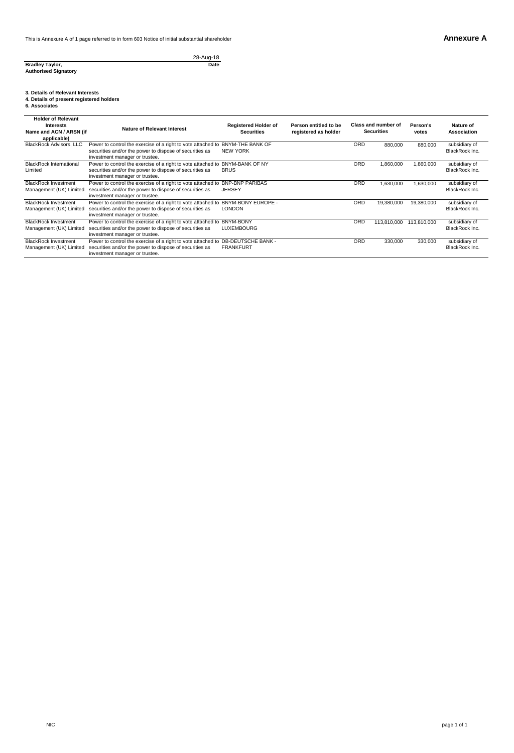28-Aug-18 **Date**

**Bradley Taylor, Authorised Signatory**

# **3. Details of Relevant Interests 4. Details of present registered holders 6. Associates**

| <b>Holder of Relevant</b><br>Interests<br>Name and ACN / ARSN (if<br>applicable) | Nature of Relevant Interest                                                                                                                               | <b>Registered Holder of</b><br><b>Securities</b> | Person entitled to be<br>registered as holder |            | Class and number of<br><b>Securities</b> | Person's<br>votes | Nature of<br>Association        |
|----------------------------------------------------------------------------------|-----------------------------------------------------------------------------------------------------------------------------------------------------------|--------------------------------------------------|-----------------------------------------------|------------|------------------------------------------|-------------------|---------------------------------|
| <b>BlackRock Advisors, LLC</b>                                                   | Power to control the exercise of a right to vote attached to<br>securities and/or the power to dispose of securities as<br>investment manager or trustee. | <b>BNYM-THE BANK OF</b><br><b>NEW YORK</b>       |                                               | ORD        | 880,000                                  | 880,000           | subsidiary of<br>BlackRock Inc. |
| <b>BlackRock International</b><br>Limited                                        | Power to control the exercise of a right to vote attached to<br>securities and/or the power to dispose of securities as<br>investment manager or trustee. | <b>BNYM-BANK OF NY</b><br><b>BRUS</b>            |                                               | ORD        | 1.860.000                                | 1,860,000         | subsidiary of<br>BlackRock Inc. |
| <b>BlackRock Investment</b><br>Management (UK) Limited                           | Power to control the exercise of a right to vote attached to<br>securities and/or the power to dispose of securities as<br>investment manager or trustee. | <b>BNP-BNP PARIBAS</b><br><b>JERSEY</b>          |                                               | <b>ORD</b> | 1.630.000                                | 1,630,000         | subsidiary of<br>BlackRock Inc. |
| <b>BlackRock Investment</b><br>Management (UK) Limited                           | Power to control the exercise of a right to vote attached to<br>securities and/or the power to dispose of securities as<br>investment manager or trustee. | BNYM-BONY EUROPE -<br><b>LONDON</b>              |                                               | <b>ORD</b> | 19,380,000                               | 19,380,000        | subsidiary of<br>BlackRock Inc. |
| <b>BlackRock Investment</b><br>Management (UK) Limited                           | Power to control the exercise of a right to vote attached to<br>securities and/or the power to dispose of securities as<br>investment manager or trustee. | <b>BNYM-BONY</b><br><b>LUXEMBOURG</b>            |                                               | ORD        | 113.810.000                              | 113.810.000       | subsidiary of<br>BlackRock Inc. |
| <b>BlackRock Investment</b><br>Management (UK) Limited                           | Power to control the exercise of a right to vote attached to<br>securities and/or the power to dispose of securities as<br>investment manager or trustee. | <b>DB-DEUTSCHE BANK -</b><br><b>FRANKFURT</b>    |                                               | ORD        | 330,000                                  | 330,000           | subsidiary of<br>BlackRock Inc. |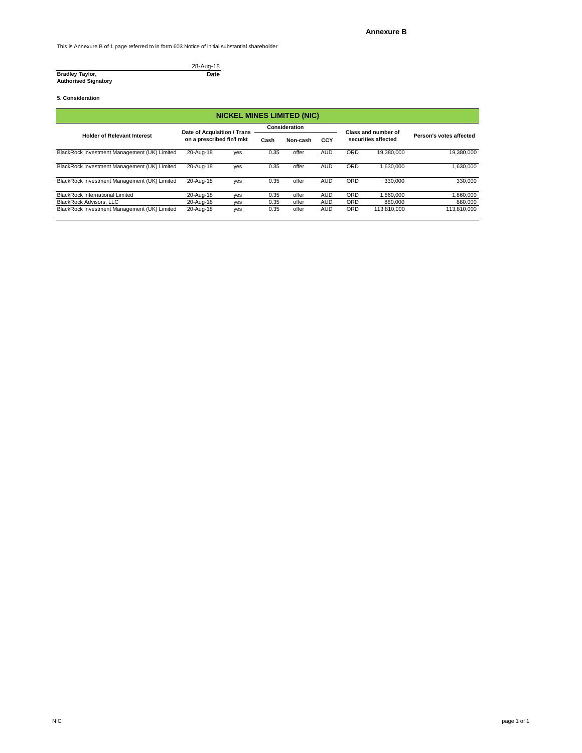This is Annexure B of 1 page referred to in form 603 Notice of initial substantial shareholder

#### 28-Aug-18 **Date**

**Bradley Taylor, Authorised Signatory**

#### **5. Consideration**

| <b>NICKEL MINES LIMITED (NIC)</b>            |                                                          |     |               |          |            |                     |             |                         |
|----------------------------------------------|----------------------------------------------------------|-----|---------------|----------|------------|---------------------|-------------|-------------------------|
|                                              | Date of Acquisition / Trans<br>on a prescribed fin'l mkt |     | Consideration |          |            | Class and number of |             |                         |
| <b>Holder of Relevant Interest</b>           |                                                          |     | Cash          | Non-cash | CCY        | securities affected |             | Person's votes affected |
| BlackRock Investment Management (UK) Limited | 20-Aug-18                                                | yes | 0.35          | offer    | <b>AUD</b> | <b>ORD</b>          | 19.380.000  | 19,380,000              |
| BlackRock Investment Management (UK) Limited | 20-Aug-18                                                | yes | 0.35          | offer    | <b>AUD</b> | <b>ORD</b>          | 1.630.000   | 1,630,000               |
| BlackRock Investment Management (UK) Limited | 20-Aug-18                                                | ves | 0.35          | offer    | <b>AUD</b> | <b>ORD</b>          | 330.000     | 330,000                 |
| <b>BlackRock International Limited</b>       | 20-Aug-18                                                | ves | 0.35          | offer    | <b>AUD</b> | <b>ORD</b>          | 1.860.000   | 000,038,                |
| <b>BlackRock Advisors, LLC</b>               | 20-Aug-18                                                | yes | 0.35          | offer    | <b>AUD</b> | <b>ORD</b>          | 880,000     | 880,000                 |
| BlackRock Investment Management (UK) Limited | 20-Aug-18                                                | yes | 0.35          | offer    | <b>AUD</b> | <b>ORD</b>          | 113.810.000 | 113.810.000             |